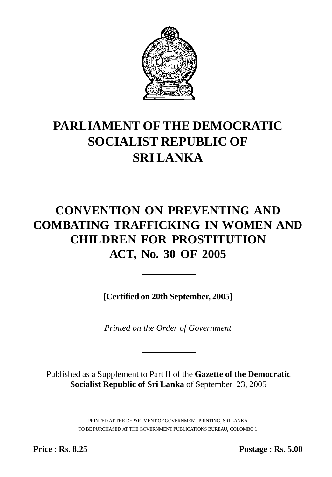

# **PARLIAMENT OF THE DEMOCRATIC SOCIALIST REPUBLIC OF SRI LANKA**

# **CONVENTION ON PREVENTING AND COMBATING TRAFFICKING IN WOMEN AND CHILDREN FOR PROSTITUTION ACT, No. 30 OF 2005**

**[Certified on 20th September, 2005]**

*Printed on the Order of Government*

Published as a Supplement to Part II of the **Gazette of the Democratic Socialist Republic of Sri Lanka** of September 23, 2005

PRINTED AT THE DEPARTMENT OF GOVERNMENT PRINTING, SRI LANKA

TO BE PURCHASED AT THE GOVERNMENT PUBLICATIONS BUREAU, COLOMBO 1

**Price : Rs. 8.25 Postage : Rs. 5.00**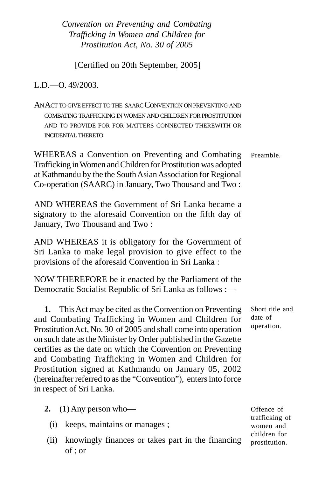[Certified on 20th September, 2005]

L.D.—O. 49/2003.

AN ACT TO GIVE EFFECTTO THE SAARC CONVENTION ONPREVENTING AND COMBATING TRAFFICKING IN WOMEN AND CHILDREN FOR PROSTITUTION AND TO PROVIDE FOR FOR MATTERS CONNECTED THEREWITH OR INCIDENTAL THERETO

Preamble. WHEREAS a Convention on Preventing and Combating Trafficking in Women and Children for Prostitution was adopted at Kathmandu by the the South Asian Association for Regional Co-operation (SAARC) in January, Two Thousand and Two :

AND WHEREAS the Government of Sri Lanka became a signatory to the aforesaid Convention on the fifth day of January, Two Thousand and Two :

AND WHEREAS it is obligatory for the Government of Sri Lanka to make legal provision to give effect to the provisions of the aforesaid Convention in Sri Lanka :

NOW THEREFORE be it enacted by the Parliament of the Democratic Socialist Republic of Sri Lanka as follows :—

**1.** This Act may be cited as the Convention on Preventing and Combating Trafficking in Women and Children for Prostitution Act, No. 30 of 2005 and shall come into operation on such date as the Minister by Order published in the Gazette certifies as the date on which the Convention on Preventing and Combating Trafficking in Women and Children for Prostitution signed at Kathmandu on January 05, 2002 (hereinafter referred to as the "Convention"), enters into force in respect of Sri Lanka.

- **2.** (1) Any person who—
	- (i) keeps, maintains or manages ;
- (ii) knowingly finances or takes part in the financing of ; or

Short title and date of operation.

Offence of trafficking of women and children for prostitution.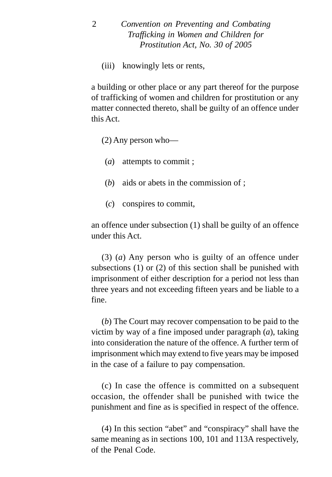(iii) knowingly lets or rents,

a building or other place or any part thereof for the purpose of trafficking of women and children for prostitution or any matter connected thereto, shall be guilty of an offence under this Act.

(2) Any person who—

(*a*) attempts to commit ;

- (*b*) aids or abets in the commission of ;
- (*c*) conspires to commit,

an offence under subsection (1) shall be guilty of an offence under this Act.

(3) (*a*) Any person who is guilty of an offence under subsections (1) or (2) of this section shall be punished with imprisonment of either description for a period not less than three years and not exceeding fifteen years and be liable to a fine.

(*b*) The Court may recover compensation to be paid to the victim by way of a fine imposed under paragraph (*a*), taking into consideration the nature of the offence. A further term of imprisonment which may extend to five years may be imposed in the case of a failure to pay compensation.

(c) In case the offence is committed on a subsequent occasion, the offender shall be punished with twice the punishment and fine as is specified in respect of the offence.

(4) In this section "abet" and "conspiracy" shall have the same meaning as in sections 100, 101 and 113A respectively, of the Penal Code.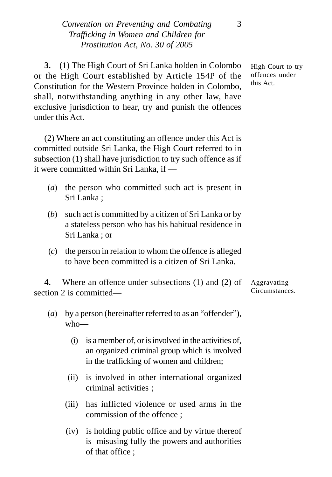**3.** (1) The High Court of Sri Lanka holden in Colombo or the High Court established by Article 154P of the Constitution for the Western Province holden in Colombo, shall, notwithstanding anything in any other law, have exclusive jurisdiction to hear, try and punish the offences under this Act.

(2) Where an act constituting an offence under this Act is committed outside Sri Lanka, the High Court referred to in subsection (1) shall have jurisdiction to try such offence as if it were committed within Sri Lanka, if —

- (*a*) the person who committed such act is present in Sri Lanka ;
- (*b*) such act is committed by a citizen of Sri Lanka or by a stateless person who has his habitual residence in Sri Lanka ; or
- (*c*) the person in relation to whom the offence is alleged to have been committed is a citizen of Sri Lanka.

**4.** Where an offence under subsections (1) and (2) of section 2 is committed—

- (*a*) by a person (hereinafter referred to as an "offender"), who—
	- (i) is a member of, or is involved in the activities of, an organized criminal group which is involved in the trafficking of women and children;
	- (ii) is involved in other international organized criminal activities ;
	- (iii) has inflicted violence or used arms in the commission of the offence ;
	- (iv) is holding public office and by virtue thereof is misusing fully the powers and authorities of that office ;

High Court to try offences under this Act.

Aggravating Circumstances.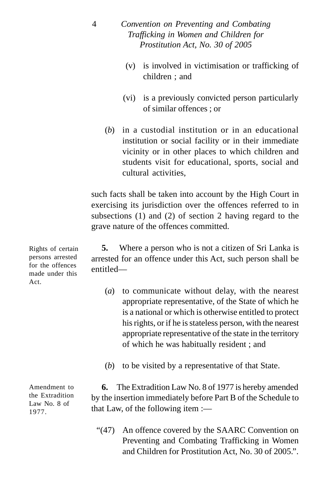- (v) is involved in victimisation or trafficking of children ; and
- (vi) is a previously convicted person particularly of similar offences ; or
- (*b*) in a custodial institution or in an educational institution or social facility or in their immediate vicinity or in other places to which children and students visit for educational, sports, social and cultural activities,

such facts shall be taken into account by the High Court in exercising its jurisdiction over the offences referred to in subsections (1) and (2) of section 2 having regard to the grave nature of the offences committed.

**5.** Where a person who is not a citizen of Sri Lanka is arrested for an offence under this Act, such person shall be entitled—

- (*a*) to communicate without delay, with the nearest appropriate representative, of the State of which he is a national or which is otherwise entitled to protect his rights, or if he is stateless person, with the nearest appropriate representative of the state in the territory of which he was habitually resident ; and
- (*b*) to be visited by a representative of that State.

**6.** The Extradition Law No. 8 of 1977 is hereby amended by the insertion immediately before Part B of the Schedule to that Law, of the following item :—

"(47) An offence covered by the SAARC Convention on Preventing and Combating Trafficking in Women and Children for Prostitution Act, No. 30 of 2005.".

Rights of certain persons arrested for the offences made under this Act.

Amendment to the Extradition Law No. 8 of 1977.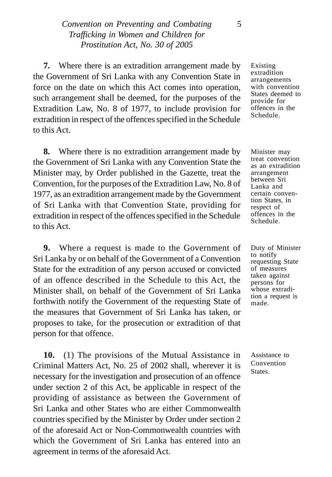**7.** Where there is an extradition arrangement made by the Government of Sri Lanka with any Convention State in force on the date on which this Act comes into operation, such arrangement shall be deemed, for the purposes of the Extradition Law, No. 8 of 1977, to include provision for extradition in respect of the offences specified in the Schedule to this Act.

**8.** Where there is no extradition arrangement made by the Government of Sri Lanka with any Convention State the Minister may, by Order published in the Gazette, treat the Convention, for the purposes of the Extradition Law, No. 8 of 1977, as an extradition arrangement made by the Government of Sri Lanka with that Convention State, providing for extradition in respect of the offences specified in the Schedule to this Act.

**9.** Where a request is made to the Government of Sri Lanka by or on behalf of the Government of a Convention State for the extradition of any person accused or convicted of an offence described in the Schedule to this Act, the Minister shall, on behalf of the Government of Sri Lanka forthwith notify the Government of the requesting State of the measures that Government of Sri Lanka has taken, or proposes to take, for the prosecution or extradition of that person for that offence.

**10.** (1) The provisions of the Mutual Assistance in Criminal Matters Act, No. 25 of 2002 shall, wherever it is necessary for the investigation and prosecution of an offence under section 2 of this Act, be applicable in respect of the providing of assistance as between the Government of Sri Lanka and other States who are either Commonwealth countries specified by the Minister by Order under section 2 of the aforesaid Act or Non-Commonwealth countries with which the Government of Sri Lanka has entered into an agreement in terms of the aforesaid Act.

Existing extradition arrangements with convention States deemed to provide for offences in the Schedule.

Minister may treat convention as an extradition arrangement between Sri Lanka and certain convention States, in respect of offences in the Schedule.

Duty of Minister to notify requesting State of measures taken against persons for whose extradition a request is made.

Assistance to Convention States.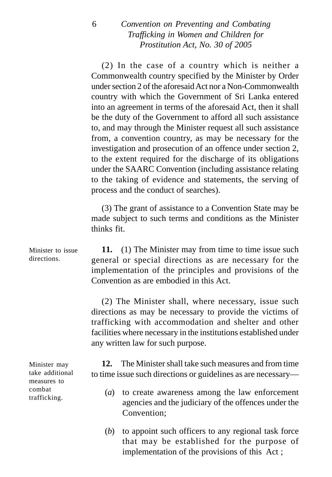(2) In the case of a country which is neither a Commonwealth country specified by the Minister by Order under section 2 of the aforesaid Act nor a Non-Commonwealth country with which the Government of Sri Lanka entered into an agreement in terms of the aforesaid Act, then it shall be the duty of the Government to afford all such assistance to, and may through the Minister request all such assistance from, a convention country, as may be necessary for the investigation and prosecution of an offence under section 2, to the extent required for the discharge of its obligations under the SAARC Convention (including assistance relating to the taking of evidence and statements, the serving of process and the conduct of searches).

(3) The grant of assistance to a Convention State may be made subject to such terms and conditions as the Minister thinks fit.

**11.** (1) The Minister may from time to time issue such general or special directions as are necessary for the implementation of the principles and provisions of the Convention as are embodied in this Act. Minister to issue

> (2) The Minister shall, where necessary, issue such directions as may be necessary to provide the victims of trafficking with accommodation and shelter and other facilities where necessary in the institutions established under any written law for such purpose.

> **12.** The Minister shall take such measures and from time to time issue such directions or guidelines as are necessary—

- (*a*) to create awareness among the law enforcement agencies and the judiciary of the offences under the Convention;
- (*b*) to appoint such officers to any regional task force that may be established for the purpose of implementation of the provisions of this Act ;

directions.

Minister may take additional measures to combat trafficking.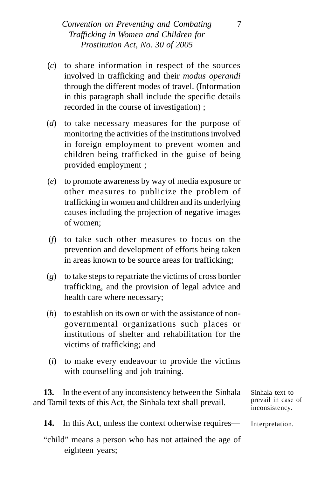- (*c*) to share information in respect of the sources involved in trafficking and their *modus operandi* through the different modes of travel. (Information in this paragraph shall include the specific details recorded in the course of investigation) ;
- (*d*) to take necessary measures for the purpose of monitoring the activities of the institutions involved in foreign employment to prevent women and children being trafficked in the guise of being provided employment ;
- (*e*) to promote awareness by way of media exposure or other measures to publicize the problem of trafficking in women and children and its underlying causes including the projection of negative images of women;
- (*f*) to take such other measures to focus on the prevention and development of efforts being taken in areas known to be source areas for trafficking;
- (*g*) to take steps to repatriate the victims of cross border trafficking, and the provision of legal advice and health care where necessary;
- (*h*) to establish on its own or with the assistance of nongovernmental organizations such places or institutions of shelter and rehabilitation for the victims of trafficking; and
- (*i*) to make every endeavour to provide the victims with counselling and job training.

**13.** In the event of any inconsistency between the Sinhala and Tamil texts of this Act, the Sinhala text shall prevail.

Sinhala text to prevail in case of inconsistency.

**14.** In this Act, unless the context otherwise requires— Interpretation.

"child" means a person who has not attained the age of eighteen years;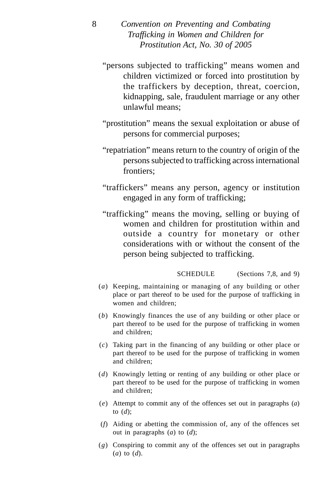- "persons subjected to trafficking" means women and children victimized or forced into prostitution by the traffickers by deception, threat, coercion, kidnapping, sale, fraudulent marriage or any other unlawful means;
- "prostitution" means the sexual exploitation or abuse of persons for commercial purposes;
- "repatriation" means return to the country of origin of the persons subjected to trafficking across international frontiers;
- "traffickers" means any person, agency or institution engaged in any form of trafficking;
- "trafficking" means the moving, selling or buying of women and children for prostitution within and outside a country for monetary or other considerations with or without the consent of the person being subjected to trafficking.

SCHEDULE (Sections 7.8, and 9)

- (*a*) Keeping, maintaining or managing of any building or other place or part thereof to be used for the purpose of trafficking in women and children;
- (*b*) Knowingly finances the use of any building or other place or part thereof to be used for the purpose of trafficking in women and children;
- (*c*) Taking part in the financing of any building or other place or part thereof to be used for the purpose of trafficking in women and children;
- (*d*) Knowingly letting or renting of any building or other place or part thereof to be used for the purpose of trafficking in women and children;
- (*e*) Attempt to commit any of the offences set out in paragraphs (*a*) to (*d*);
- (*f*) Aiding or abetting the commission of, any of the offences set out in paragraphs (*a*) to (*d*);
- (*g*) Conspiring to commit any of the offences set out in paragraphs (*a*) to (*d*).